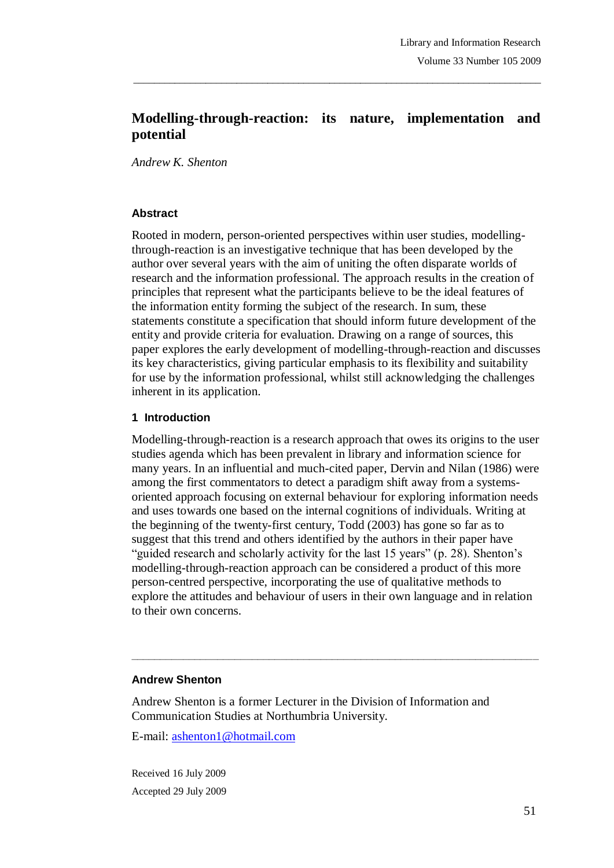# **Modelling-through-reaction: its nature, implementation and potential**

\_\_\_\_\_\_\_\_\_\_\_\_\_\_\_\_\_\_\_\_\_\_\_\_\_\_\_\_\_\_\_\_\_\_\_\_\_\_\_\_\_\_\_\_\_\_\_\_\_\_\_\_\_\_\_\_\_\_\_\_\_\_\_\_\_\_\_\_\_\_\_\_\_\_\_\_\_\_\_

*Andrew K. Shenton*

#### **Abstract**

Rooted in modern, person-oriented perspectives within user studies, modellingthrough-reaction is an investigative technique that has been developed by the author over several years with the aim of uniting the often disparate worlds of research and the information professional. The approach results in the creation of principles that represent what the participants believe to be the ideal features of the information entity forming the subject of the research. In sum, these statements constitute a specification that should inform future development of the entity and provide criteria for evaluation. Drawing on a range of sources, this paper explores the early development of modelling-through-reaction and discusses its key characteristics, giving particular emphasis to its flexibility and suitability for use by the information professional, whilst still acknowledging the challenges inherent in its application.

#### **1 Introduction**

Modelling-through-reaction is a research approach that owes its origins to the user studies agenda which has been prevalent in library and information science for many years. In an influential and much-cited paper, Dervin and Nilan (1986) were among the first commentators to detect a paradigm shift away from a systemsoriented approach focusing on external behaviour for exploring information needs and uses towards one based on the internal cognitions of individuals. Writing at the beginning of the twenty-first century, Todd (2003) has gone so far as to suggest that this trend and others identified by the authors in their paper have "guided research and scholarly activity for the last 15 years" (p. 28). Shenton's modelling-through-reaction approach can be considered a product of this more person-centred perspective, incorporating the use of qualitative methods to explore the attitudes and behaviour of users in their own language and in relation to their own concerns.

**\_\_\_\_\_\_\_\_\_\_\_\_\_\_\_\_\_\_\_\_\_\_\_\_\_\_\_\_\_\_\_\_\_\_\_\_\_\_\_\_\_\_\_\_\_\_\_\_\_\_\_\_\_\_\_\_\_\_\_\_\_\_\_\_\_\_\_\_\_\_\_**

#### **Andrew Shenton**

Andrew Shenton is a former Lecturer in the Division of Information and Communication Studies at Northumbria University.

E-mail: ashenton1@hotmail.com

Received 16 July 2009 Accepted 29 July 2009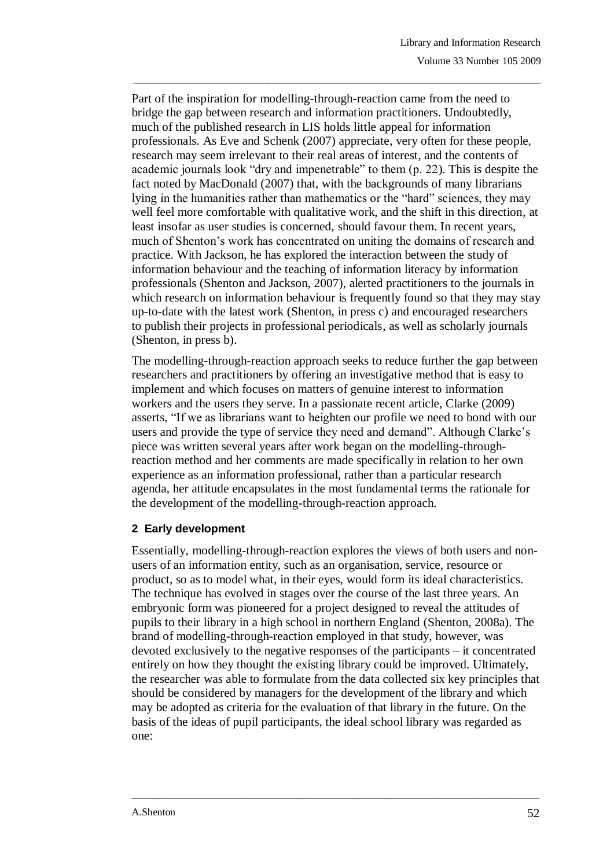Part of the inspiration for modelling-through-reaction came from the need to bridge the gap between research and information practitioners. Undoubtedly, much of the published research in LIS holds little appeal for information professionals. As Eve and Schenk (2007) appreciate, very often for these people, research may seem irrelevant to their real areas of interest, and the contents of academic journals look "dry and impenetrable" to them (p. 22). This is despite the fact noted by MacDonald (2007) that, with the backgrounds of many librarians lying in the humanities rather than mathematics or the "hard" sciences, they may well feel more comfortable with qualitative work, and the shift in this direction, at least insofar as user studies is concerned, should favour them. In recent years, much of Shenton's work has concentrated on uniting the domains of research and practice. With Jackson, he has explored the interaction between the study of information behaviour and the teaching of information literacy by information professionals (Shenton and Jackson, 2007), alerted practitioners to the journals in which research on information behaviour is frequently found so that they may stay up-to-date with the latest work (Shenton, in press c) and encouraged researchers to publish their projects in professional periodicals, as well as scholarly journals (Shenton, in press b).

\_\_\_\_\_\_\_\_\_\_\_\_\_\_\_\_\_\_\_\_\_\_\_\_\_\_\_\_\_\_\_\_\_\_\_\_\_\_\_\_\_\_\_\_\_\_\_\_\_\_\_\_\_\_\_\_\_\_\_\_\_\_\_\_\_\_\_\_\_\_\_\_\_\_\_\_\_\_\_

The modelling-through-reaction approach seeks to reduce further the gap between researchers and practitioners by offering an investigative method that is easy to implement and which focuses on matters of genuine interest to information workers and the users they serve. In a passionate recent article, Clarke (2009) asserts, "If we as librarians want to heighten our profile we need to bond with our users and provide the type of service they need and demand". Although Clarke's piece was written several years after work began on the modelling-throughreaction method and her comments are made specifically in relation to her own experience as an information professional, rather than a particular research agenda, her attitude encapsulates in the most fundamental terms the rationale for the development of the modelling-through-reaction approach.

### **2 Early development**

Essentially, modelling-through-reaction explores the views of both users and nonusers of an information entity, such as an organisation, service, resource or product, so as to model what, in their eyes, would form its ideal characteristics. The technique has evolved in stages over the course of the last three years. An embryonic form was pioneered for a project designed to reveal the attitudes of pupils to their library in a high school in northern England (Shenton, 2008a). The brand of modelling-through-reaction employed in that study, however, was devoted exclusively to the negative responses of the participants – it concentrated entirely on how they thought the existing library could be improved. Ultimately, the researcher was able to formulate from the data collected six key principles that should be considered by managers for the development of the library and which may be adopted as criteria for the evaluation of that library in the future. On the basis of the ideas of pupil participants, the ideal school library was regarded as one: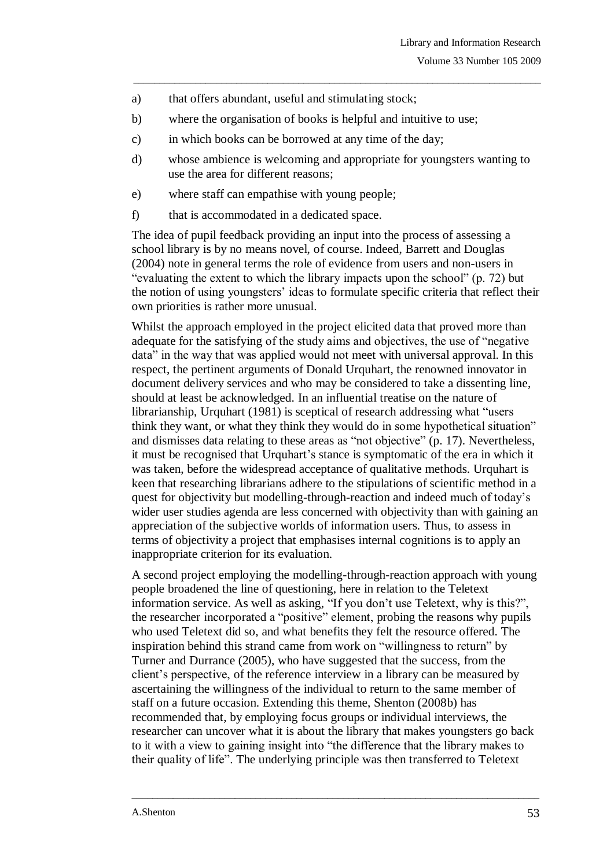- a) that offers abundant, useful and stimulating stock;
- b) where the organisation of books is helpful and intuitive to use;
- c) in which books can be borrowed at any time of the day;
- d) whose ambience is welcoming and appropriate for youngsters wanting to use the area for different reasons;

\_\_\_\_\_\_\_\_\_\_\_\_\_\_\_\_\_\_\_\_\_\_\_\_\_\_\_\_\_\_\_\_\_\_\_\_\_\_\_\_\_\_\_\_\_\_\_\_\_\_\_\_\_\_\_\_\_\_\_\_\_\_\_\_\_\_\_\_\_\_\_\_\_\_\_\_\_\_\_

- e) where staff can empathise with young people;
- f) that is accommodated in a dedicated space.

The idea of pupil feedback providing an input into the process of assessing a school library is by no means novel, of course. Indeed, Barrett and Douglas (2004) note in general terms the role of evidence from users and non-users in "evaluating the extent to which the library impacts upon the school" (p. 72) but the notion of using youngsters' ideas to formulate specific criteria that reflect their own priorities is rather more unusual.

Whilst the approach employed in the project elicited data that proved more than adequate for the satisfying of the study aims and objectives, the use of "negative data" in the way that was applied would not meet with universal approval. In this respect, the pertinent arguments of Donald Urquhart, the renowned innovator in document delivery services and who may be considered to take a dissenting line, should at least be acknowledged. In an influential treatise on the nature of librarianship, Urquhart (1981) is sceptical of research addressing what "users think they want, or what they think they would do in some hypothetical situation" and dismisses data relating to these areas as "not objective" (p. 17). Nevertheless, it must be recognised that Urquhart's stance is symptomatic of the era in which it was taken, before the widespread acceptance of qualitative methods. Urquhart is keen that researching librarians adhere to the stipulations of scientific method in a quest for objectivity but modelling-through-reaction and indeed much of today's wider user studies agenda are less concerned with objectivity than with gaining an appreciation of the subjective worlds of information users. Thus, to assess in terms of objectivity a project that emphasises internal cognitions is to apply an inappropriate criterion for its evaluation.

A second project employing the modelling-through-reaction approach with young people broadened the line of questioning, here in relation to the Teletext information service. As well as asking, "If you don't use Teletext, why is this?", the researcher incorporated a "positive" element, probing the reasons why pupils who used Teletext did so, and what benefits they felt the resource offered. The inspiration behind this strand came from work on "willingness to return" by Turner and Durrance (2005), who have suggested that the success, from the client's perspective, of the reference interview in a library can be measured by ascertaining the willingness of the individual to return to the same member of staff on a future occasion. Extending this theme, Shenton (2008b) has recommended that, by employing focus groups or individual interviews, the researcher can uncover what it is about the library that makes youngsters go back to it with a view to gaining insight into "the difference that the library makes to their quality of life". The underlying principle was then transferred to Teletext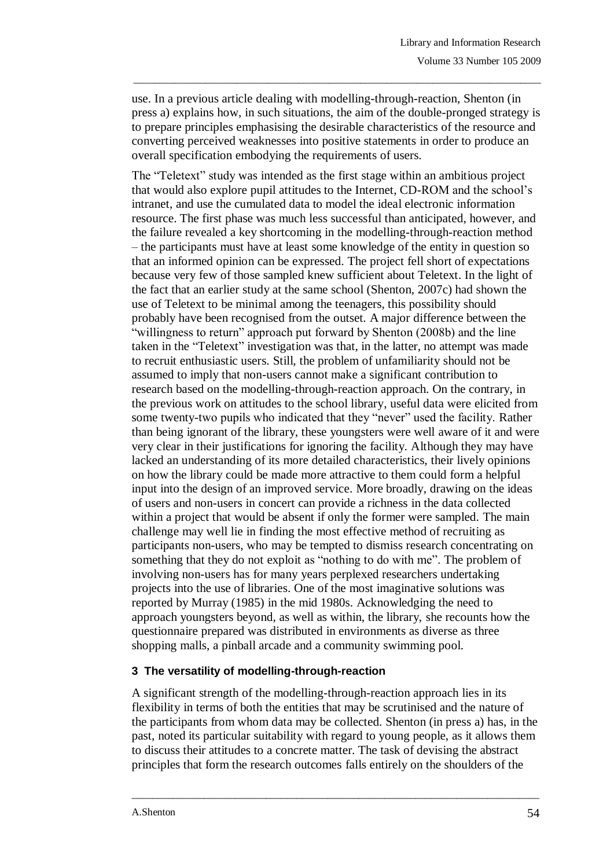use. In a previous article dealing with modelling-through-reaction, Shenton (in press a) explains how, in such situations, the aim of the double-pronged strategy is to prepare principles emphasising the desirable characteristics of the resource and converting perceived weaknesses into positive statements in order to produce an overall specification embodying the requirements of users.

\_\_\_\_\_\_\_\_\_\_\_\_\_\_\_\_\_\_\_\_\_\_\_\_\_\_\_\_\_\_\_\_\_\_\_\_\_\_\_\_\_\_\_\_\_\_\_\_\_\_\_\_\_\_\_\_\_\_\_\_\_\_\_\_\_\_\_\_\_\_\_\_\_\_\_\_\_\_\_

The "Teletext" study was intended as the first stage within an ambitious project that would also explore pupil attitudes to the Internet, CD-ROM and the school's intranet, and use the cumulated data to model the ideal electronic information resource. The first phase was much less successful than anticipated, however, and the failure revealed a key shortcoming in the modelling-through-reaction method – the participants must have at least some knowledge of the entity in question so that an informed opinion can be expressed. The project fell short of expectations because very few of those sampled knew sufficient about Teletext. In the light of the fact that an earlier study at the same school (Shenton, 2007c) had shown the use of Teletext to be minimal among the teenagers, this possibility should probably have been recognised from the outset. A major difference between the "willingness to return" approach put forward by Shenton (2008b) and the line taken in the "Teletext" investigation was that, in the latter, no attempt was made to recruit enthusiastic users. Still, the problem of unfamiliarity should not be assumed to imply that non-users cannot make a significant contribution to research based on the modelling-through-reaction approach. On the contrary, in the previous work on attitudes to the school library, useful data were elicited from some twenty-two pupils who indicated that they "never" used the facility. Rather than being ignorant of the library, these youngsters were well aware of it and were very clear in their justifications for ignoring the facility. Although they may have lacked an understanding of its more detailed characteristics, their lively opinions on how the library could be made more attractive to them could form a helpful input into the design of an improved service. More broadly, drawing on the ideas of users and non-users in concert can provide a richness in the data collected within a project that would be absent if only the former were sampled. The main challenge may well lie in finding the most effective method of recruiting as participants non-users, who may be tempted to dismiss research concentrating on something that they do not exploit as "nothing to do with me". The problem of involving non-users has for many years perplexed researchers undertaking projects into the use of libraries. One of the most imaginative solutions was reported by Murray (1985) in the mid 1980s. Acknowledging the need to approach youngsters beyond, as well as within, the library, she recounts how the questionnaire prepared was distributed in environments as diverse as three shopping malls, a pinball arcade and a community swimming pool.

### **3 The versatility of modelling-through-reaction**

A significant strength of the modelling-through-reaction approach lies in its flexibility in terms of both the entities that may be scrutinised and the nature of the participants from whom data may be collected. Shenton (in press a) has, in the past, noted its particular suitability with regard to young people, as it allows them to discuss their attitudes to a concrete matter. The task of devising the abstract principles that form the research outcomes falls entirely on the shoulders of the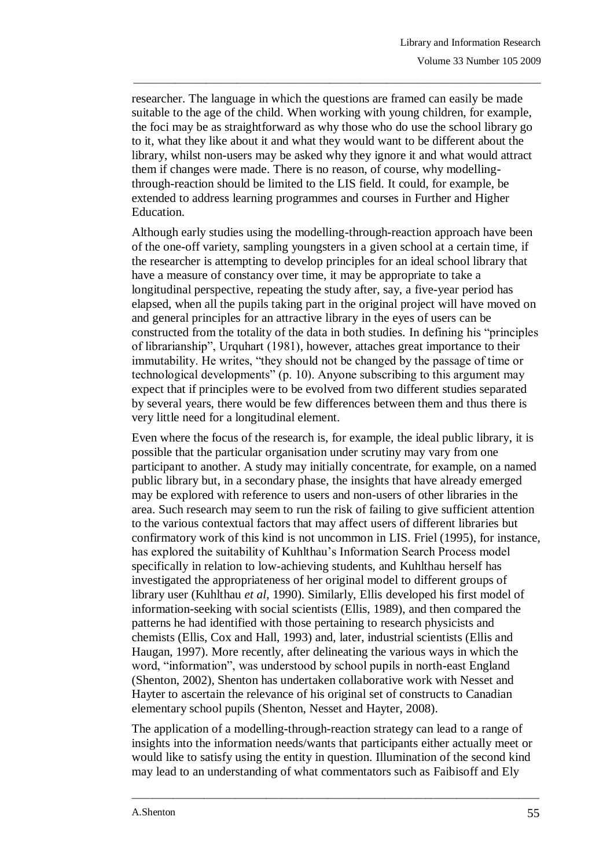researcher. The language in which the questions are framed can easily be made suitable to the age of the child. When working with young children, for example, the foci may be as straightforward as why those who do use the school library go to it, what they like about it and what they would want to be different about the library, whilst non-users may be asked why they ignore it and what would attract them if changes were made. There is no reason, of course, why modellingthrough-reaction should be limited to the LIS field. It could, for example, be extended to address learning programmes and courses in Further and Higher Education.

\_\_\_\_\_\_\_\_\_\_\_\_\_\_\_\_\_\_\_\_\_\_\_\_\_\_\_\_\_\_\_\_\_\_\_\_\_\_\_\_\_\_\_\_\_\_\_\_\_\_\_\_\_\_\_\_\_\_\_\_\_\_\_\_\_\_\_\_\_\_\_\_\_\_\_\_\_\_\_

Although early studies using the modelling-through-reaction approach have been of the one-off variety, sampling youngsters in a given school at a certain time, if the researcher is attempting to develop principles for an ideal school library that have a measure of constancy over time, it may be appropriate to take a longitudinal perspective, repeating the study after, say, a five-year period has elapsed, when all the pupils taking part in the original project will have moved on and general principles for an attractive library in the eyes of users can be constructed from the totality of the data in both studies. In defining his "principles of librarianship", Urquhart (1981), however, attaches great importance to their immutability. He writes, "they should not be changed by the passage of time or technological developments" (p. 10). Anyone subscribing to this argument may expect that if principles were to be evolved from two different studies separated by several years, there would be few differences between them and thus there is very little need for a longitudinal element.

Even where the focus of the research is, for example, the ideal public library, it is possible that the particular organisation under scrutiny may vary from one participant to another. A study may initially concentrate, for example, on a named public library but, in a secondary phase, the insights that have already emerged may be explored with reference to users and non-users of other libraries in the area. Such research may seem to run the risk of failing to give sufficient attention to the various contextual factors that may affect users of different libraries but confirmatory work of this kind is not uncommon in LIS. Friel (1995), for instance, has explored the suitability of Kuhlthau's Information Search Process model specifically in relation to low-achieving students, and Kuhlthau herself has investigated the appropriateness of her original model to different groups of library user (Kuhlthau *et al*, 1990). Similarly, Ellis developed his first model of information-seeking with social scientists (Ellis, 1989), and then compared the patterns he had identified with those pertaining to research physicists and chemists (Ellis, Cox and Hall, 1993) and, later, industrial scientists (Ellis and Haugan, 1997). More recently, after delineating the various ways in which the word, "information", was understood by school pupils in north-east England (Shenton, 2002), Shenton has undertaken collaborative work with Nesset and Hayter to ascertain the relevance of his original set of constructs to Canadian elementary school pupils (Shenton, Nesset and Hayter, 2008).

The application of a modelling-through-reaction strategy can lead to a range of insights into the information needs/wants that participants either actually meet or would like to satisfy using the entity in question. Illumination of the second kind may lead to an understanding of what commentators such as Faibisoff and Ely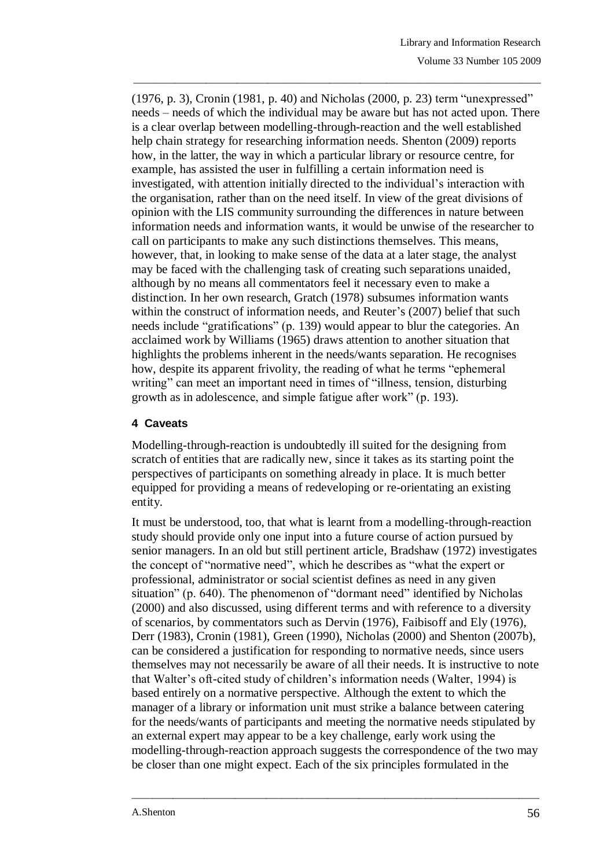(1976, p. 3), Cronin (1981, p. 40) and Nicholas (2000, p. 23) term "unexpressed" needs – needs of which the individual may be aware but has not acted upon. There is a clear overlap between modelling-through-reaction and the well established help chain strategy for researching information needs. Shenton (2009) reports how, in the latter, the way in which a particular library or resource centre, for example, has assisted the user in fulfilling a certain information need is investigated, with attention initially directed to the individual's interaction with the organisation, rather than on the need itself. In view of the great divisions of opinion with the LIS community surrounding the differences in nature between information needs and information wants, it would be unwise of the researcher to call on participants to make any such distinctions themselves. This means, however, that, in looking to make sense of the data at a later stage, the analyst may be faced with the challenging task of creating such separations unaided, although by no means all commentators feel it necessary even to make a distinction. In her own research, Gratch (1978) subsumes information wants within the construct of information needs, and Reuter's (2007) belief that such needs include "gratifications" (p. 139) would appear to blur the categories. An acclaimed work by Williams (1965) draws attention to another situation that highlights the problems inherent in the needs/wants separation. He recognises how, despite its apparent frivolity, the reading of what he terms "ephemeral writing" can meet an important need in times of "illness, tension, disturbing growth as in adolescence, and simple fatigue after work" (p. 193).

\_\_\_\_\_\_\_\_\_\_\_\_\_\_\_\_\_\_\_\_\_\_\_\_\_\_\_\_\_\_\_\_\_\_\_\_\_\_\_\_\_\_\_\_\_\_\_\_\_\_\_\_\_\_\_\_\_\_\_\_\_\_\_\_\_\_\_\_\_\_\_\_\_\_\_\_\_\_\_

## **4 Caveats**

Modelling-through-reaction is undoubtedly ill suited for the designing from scratch of entities that are radically new, since it takes as its starting point the perspectives of participants on something already in place. It is much better equipped for providing a means of redeveloping or re-orientating an existing entity.

It must be understood, too, that what is learnt from a modelling-through-reaction study should provide only one input into a future course of action pursued by senior managers. In an old but still pertinent article, Bradshaw (1972) investigates the concept of "normative need", which he describes as "what the expert or professional, administrator or social scientist defines as need in any given situation" (p. 640). The phenomenon of "dormant need" identified by Nicholas (2000) and also discussed, using different terms and with reference to a diversity of scenarios, by commentators such as Dervin (1976), Faibisoff and Ely (1976), Derr (1983), Cronin (1981), Green (1990), Nicholas (2000) and Shenton (2007b), can be considered a justification for responding to normative needs, since users themselves may not necessarily be aware of all their needs. It is instructive to note that Walter's oft-cited study of children's information needs (Walter, 1994) is based entirely on a normative perspective. Although the extent to which the manager of a library or information unit must strike a balance between catering for the needs/wants of participants and meeting the normative needs stipulated by an external expert may appear to be a key challenge, early work using the modelling-through-reaction approach suggests the correspondence of the two may be closer than one might expect. Each of the six principles formulated in the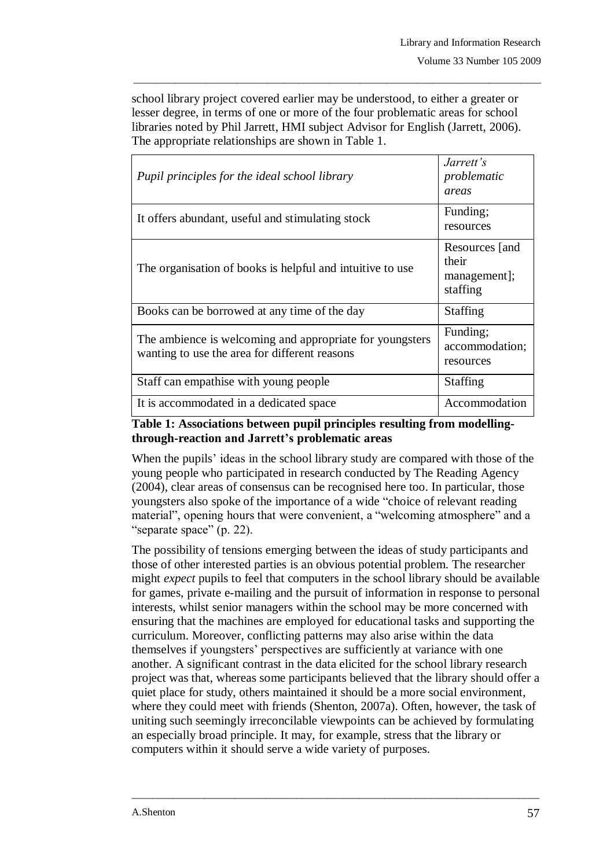school library project covered earlier may be understood, to either a greater or lesser degree, in terms of one or more of the four problematic areas for school libraries noted by Phil Jarrett, HMI subject Advisor for English (Jarrett, 2006). The appropriate relationships are shown in Table 1.

\_\_\_\_\_\_\_\_\_\_\_\_\_\_\_\_\_\_\_\_\_\_\_\_\_\_\_\_\_\_\_\_\_\_\_\_\_\_\_\_\_\_\_\_\_\_\_\_\_\_\_\_\_\_\_\_\_\_\_\_\_\_\_\_\_\_\_\_\_\_\_\_\_\_\_\_\_\_\_

| Pupil principles for the ideal school library                                                             | Jarrett's<br>problematic<br>areas                   |
|-----------------------------------------------------------------------------------------------------------|-----------------------------------------------------|
| It offers abundant, useful and stimulating stock                                                          | Funding;<br>resources                               |
| The organisation of books is helpful and intuitive to use                                                 | Resources [and<br>their<br>management];<br>staffing |
| Books can be borrowed at any time of the day                                                              | <b>Staffing</b>                                     |
| The ambience is welcoming and appropriate for youngsters<br>wanting to use the area for different reasons | Funding;<br>accommodation;<br>resources             |
| Staff can empathise with young people                                                                     | <b>Staffing</b>                                     |
| It is accommodated in a dedicated space                                                                   | Accommodation                                       |

## **Table 1: Associations between pupil principles resulting from modellingthrough-reaction and Jarrett's problematic areas**

When the pupils' ideas in the school library study are compared with those of the young people who participated in research conducted by The Reading Agency (2004), clear areas of consensus can be recognised here too. In particular, those youngsters also spoke of the importance of a wide "choice of relevant reading material", opening hours that were convenient, a "welcoming atmosphere" and a "separate space" (p. 22).

The possibility of tensions emerging between the ideas of study participants and those of other interested parties is an obvious potential problem. The researcher might *expect* pupils to feel that computers in the school library should be available for games, private e-mailing and the pursuit of information in response to personal interests, whilst senior managers within the school may be more concerned with ensuring that the machines are employed for educational tasks and supporting the curriculum. Moreover, conflicting patterns may also arise within the data themselves if youngsters' perspectives are sufficiently at variance with one another. A significant contrast in the data elicited for the school library research project was that, whereas some participants believed that the library should offer a quiet place for study, others maintained it should be a more social environment, where they could meet with friends (Shenton, 2007a). Often, however, the task of uniting such seemingly irreconcilable viewpoints can be achieved by formulating an especially broad principle. It may, for example, stress that the library or computers within it should serve a wide variety of purposes.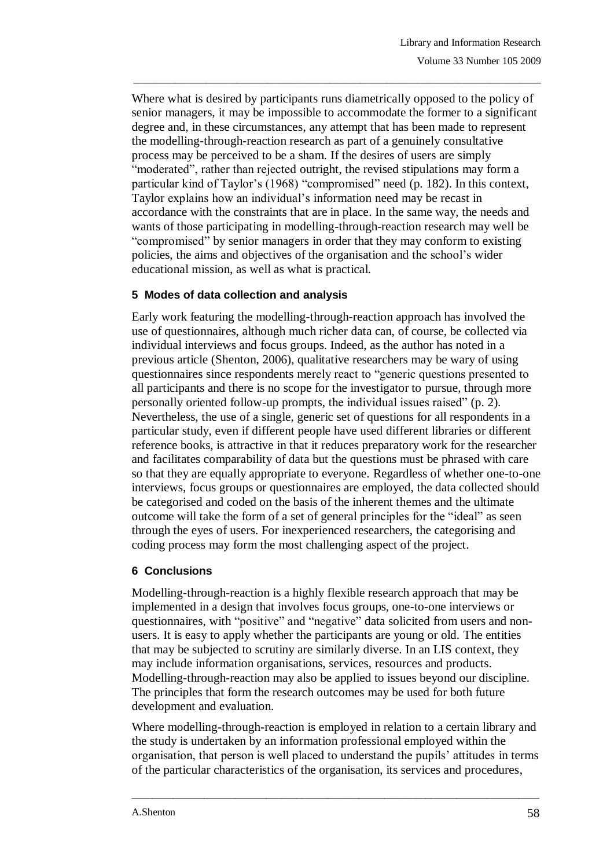Where what is desired by participants runs diametrically opposed to the policy of senior managers, it may be impossible to accommodate the former to a significant degree and, in these circumstances, any attempt that has been made to represent the modelling-through-reaction research as part of a genuinely consultative process may be perceived to be a sham. If the desires of users are simply "moderated", rather than rejected outright, the revised stipulations may form a particular kind of Taylor's (1968) "compromised" need (p. 182). In this context, Taylor explains how an individual's information need may be recast in accordance with the constraints that are in place. In the same way, the needs and wants of those participating in modelling-through-reaction research may well be "compromised" by senior managers in order that they may conform to existing policies, the aims and objectives of the organisation and the school's wider educational mission, as well as what is practical.

\_\_\_\_\_\_\_\_\_\_\_\_\_\_\_\_\_\_\_\_\_\_\_\_\_\_\_\_\_\_\_\_\_\_\_\_\_\_\_\_\_\_\_\_\_\_\_\_\_\_\_\_\_\_\_\_\_\_\_\_\_\_\_\_\_\_\_\_\_\_\_\_\_\_\_\_\_\_\_

## **5 Modes of data collection and analysis**

Early work featuring the modelling-through-reaction approach has involved the use of questionnaires, although much richer data can, of course, be collected via individual interviews and focus groups. Indeed, as the author has noted in a previous article (Shenton, 2006), qualitative researchers may be wary of using questionnaires since respondents merely react to "generic questions presented to all participants and there is no scope for the investigator to pursue, through more personally oriented follow-up prompts, the individual issues raised" (p. 2). Nevertheless, the use of a single, generic set of questions for all respondents in a particular study, even if different people have used different libraries or different reference books, is attractive in that it reduces preparatory work for the researcher and facilitates comparability of data but the questions must be phrased with care so that they are equally appropriate to everyone. Regardless of whether one-to-one interviews, focus groups or questionnaires are employed, the data collected should be categorised and coded on the basis of the inherent themes and the ultimate outcome will take the form of a set of general principles for the "ideal" as seen through the eyes of users. For inexperienced researchers, the categorising and coding process may form the most challenging aspect of the project.

### **6 Conclusions**

Modelling-through-reaction is a highly flexible research approach that may be implemented in a design that involves focus groups, one-to-one interviews or questionnaires, with "positive" and "negative" data solicited from users and nonusers. It is easy to apply whether the participants are young or old. The entities that may be subjected to scrutiny are similarly diverse. In an LIS context, they may include information organisations, services, resources and products. Modelling-through-reaction may also be applied to issues beyond our discipline. The principles that form the research outcomes may be used for both future development and evaluation.

Where modelling-through-reaction is employed in relation to a certain library and the study is undertaken by an information professional employed within the organisation, that person is well placed to understand the pupils' attitudes in terms of the particular characteristics of the organisation, its services and procedures,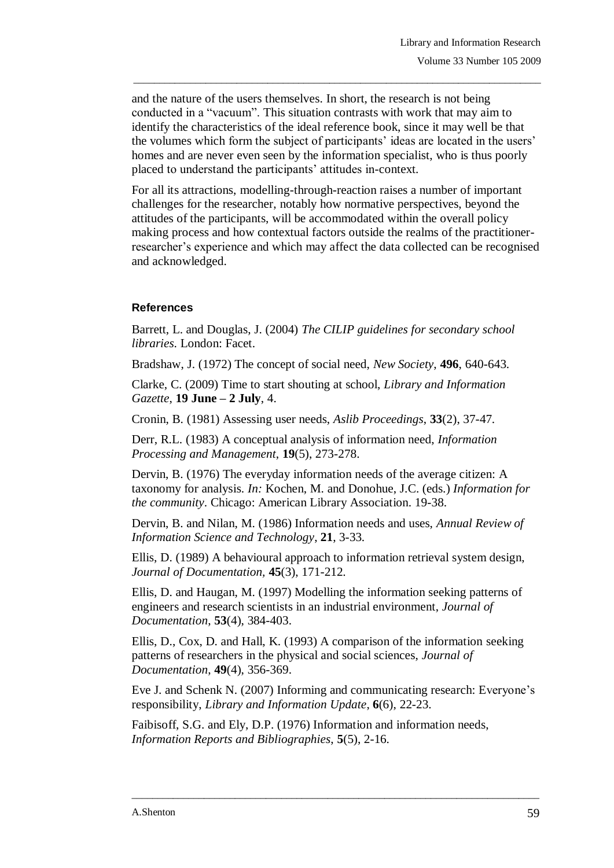and the nature of the users themselves. In short, the research is not being conducted in a "vacuum". This situation contrasts with work that may aim to identify the characteristics of the ideal reference book, since it may well be that the volumes which form the subject of participants' ideas are located in the users' homes and are never even seen by the information specialist, who is thus poorly placed to understand the participants' attitudes in-context.

\_\_\_\_\_\_\_\_\_\_\_\_\_\_\_\_\_\_\_\_\_\_\_\_\_\_\_\_\_\_\_\_\_\_\_\_\_\_\_\_\_\_\_\_\_\_\_\_\_\_\_\_\_\_\_\_\_\_\_\_\_\_\_\_\_\_\_\_\_\_\_\_\_\_\_\_\_\_\_

For all its attractions, modelling-through-reaction raises a number of important challenges for the researcher, notably how normative perspectives, beyond the attitudes of the participants, will be accommodated within the overall policy making process and how contextual factors outside the realms of the practitionerresearcher's experience and which may affect the data collected can be recognised and acknowledged.

## **References**

Barrett, L. and Douglas, J. (2004) *The CILIP guidelines for secondary school libraries*. London: Facet.

Bradshaw, J. (1972) The concept of social need, *New Society*, **496**, 640-643.

Clarke, C. (2009) Time to start shouting at school, *Library and Information Gazette*, **19 June – 2 July**, 4.

Cronin, B. (1981) Assessing user needs, *Aslib Proceedings*, **33**(2), 37-47.

Derr, R.L. (1983) A conceptual analysis of information need, *Information Processing and Management*, **19**(5), 273-278.

Dervin, B. (1976) The everyday information needs of the average citizen: A taxonomy for analysis. *In:* Kochen, M. and Donohue, J.C. (eds.) *Information for the community*. Chicago: American Library Association. 19-38.

Dervin, B. and Nilan, M. (1986) Information needs and uses, *Annual Review of Information Science and Technology*, **21**, 3-33.

Ellis, D. (1989) A behavioural approach to information retrieval system design, *Journal of Documentation,* **45**(3), 171-212.

Ellis, D. and Haugan, M. (1997) Modelling the information seeking patterns of engineers and research scientists in an industrial environment, *Journal of Documentation*, **53**(4), 384-403.

Ellis, D., Cox, D. and Hall, K. (1993) A comparison of the information seeking patterns of researchers in the physical and social sciences, *Journal of Documentation*, **49**(4), 356-369.

Eve J. and Schenk N. (2007) Informing and communicating research: Everyone's responsibility, *Library and Information Update*, **6**(6), 22-23.

 $\_$  ,  $\_$  ,  $\_$  ,  $\_$  ,  $\_$  ,  $\_$  ,  $\_$  ,  $\_$  ,  $\_$  ,  $\_$  ,  $\_$  ,  $\_$  ,  $\_$  ,  $\_$  ,  $\_$  ,  $\_$  ,  $\_$  ,  $\_$  ,  $\_$  ,  $\_$  ,  $\_$  ,  $\_$  ,  $\_$  ,  $\_$  ,  $\_$  ,  $\_$  ,  $\_$  ,  $\_$  ,  $\_$  ,  $\_$  ,  $\_$  ,  $\_$  ,  $\_$  ,  $\_$  ,  $\_$  ,  $\_$  ,  $\_$  ,

Faibisoff, S.G. and Ely, D.P. (1976) Information and information needs, *Information Reports and Bibliographies*, **5**(5), 2-16.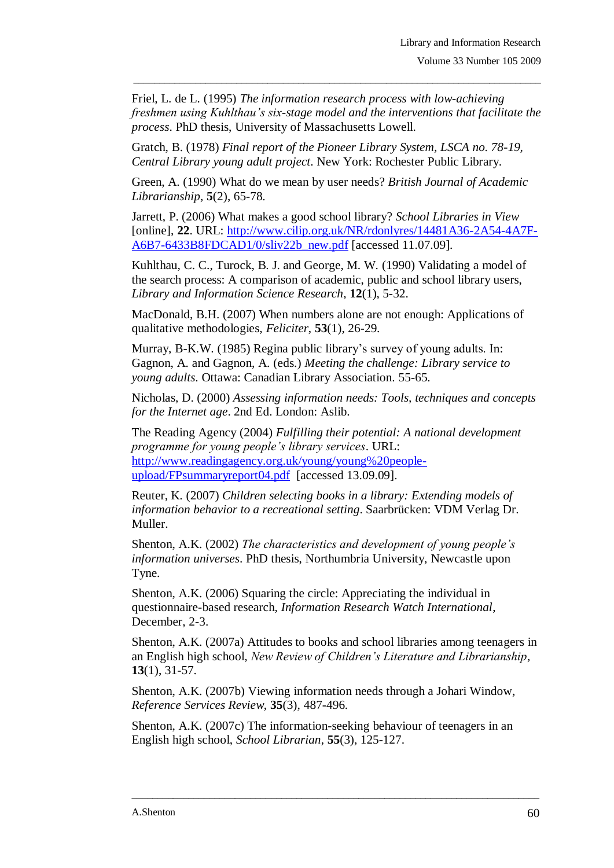Friel, L. de L. (1995) *The information research process with low-achieving freshmen using Kuhlthau's six-stage model and the interventions that facilitate the process*. PhD thesis, University of Massachusetts Lowell.

\_\_\_\_\_\_\_\_\_\_\_\_\_\_\_\_\_\_\_\_\_\_\_\_\_\_\_\_\_\_\_\_\_\_\_\_\_\_\_\_\_\_\_\_\_\_\_\_\_\_\_\_\_\_\_\_\_\_\_\_\_\_\_\_\_\_\_\_\_\_\_\_\_\_\_\_\_\_\_

Gratch, B. (1978) *Final report of the Pioneer Library System, LSCA no. 78-19, Central Library young adult project*. New York: Rochester Public Library.

Green, A. (1990) What do we mean by user needs? *British Journal of Academic Librarianship*, **5**(2), 65-78.

Jarrett, P. (2006) What makes a good school library? *School Libraries in View* [online], **22**. URL: [http://www.cilip.org.uk/NR/rdonlyres/14481A36-2A54-4A7F-](http://www.cilip.org.uk/NR/rdonlyres/14481A36-2A54-4A7F-A6B7-6433B8FDCAD1/0/sliv22b_new.pdf)[A6B7-6433B8FDCAD1/0/sliv22b\\_new.pdf](http://www.cilip.org.uk/NR/rdonlyres/14481A36-2A54-4A7F-A6B7-6433B8FDCAD1/0/sliv22b_new.pdf) [accessed 11.07.09].

Kuhlthau, C. C., Turock, B. J. and George, M. W. (1990) Validating a model of the search process: A comparison of academic, public and school library users, *Library and Information Science Research*, **12**(1), 5-32.

MacDonald, B.H. (2007) When numbers alone are not enough: Applications of qualitative methodologies, *Feliciter*, **53**(1), 26-29.

Murray, B-K.W. (1985) Regina public library's survey of young adults. In: Gagnon, A. and Gagnon, A. (eds.) *Meeting the challenge: Library service to young adults*. Ottawa: Canadian Library Association. 55-65.

Nicholas, D. (2000) *Assessing information needs: Tools, techniques and concepts for the Internet age*. 2nd Ed. London: Aslib.

The Reading Agency (2004) *Fulfilling their potential: A national development programme for young people's library services*. URL: [http://www.readingagency.org.uk/young/young%20people](http://www.readingagency.org.uk/young/young%20people-upload/FPsummaryreport04.pdf)[upload/FPsummaryreport04.pdf](http://www.readingagency.org.uk/young/young%20people-upload/FPsummaryreport04.pdf) [accessed 13.09.09].

Reuter, K. (2007) *Children selecting books in a library: Extending models of information behavior to a recreational setting*. Saarbrücken: VDM Verlag Dr. Muller.

Shenton, A.K. (2002) *The characteristics and development of young people's information universes*. PhD thesis, Northumbria University, Newcastle upon Tyne.

Shenton, A.K. (2006) Squaring the circle: Appreciating the individual in questionnaire-based research, *Information Research Watch International*, December, 2-3.

Shenton, A.K. (2007a) Attitudes to books and school libraries among teenagers in an English high school, *New Review of Children's Literature and Librarianship*, **13**(1), 31-57.

Shenton, A.K. (2007b) Viewing information needs through a Johari Window, *Reference Services Review*, **35**(3), 487-496.

Shenton, A.K. (2007c) The information-seeking behaviour of teenagers in an English high school, *School Librarian*, **55**(3), 125-127.